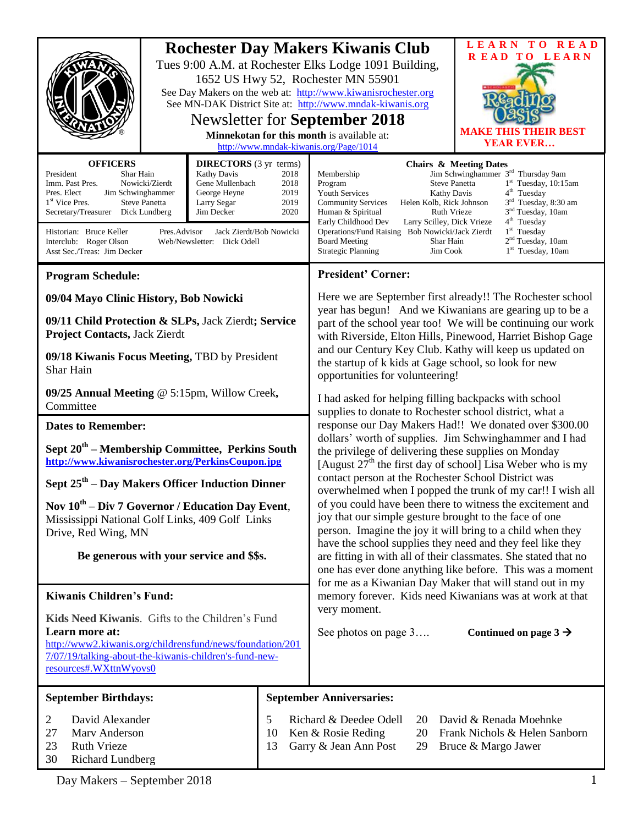|                                                                                                                                                                                                                                                                                                                                                                                                                                                                                                      |  |               |                                                                                                                                                                                                                                                                                                                                                                                                                                                                                                                                                                                                                                                                                                                                                                                                                                                                                                                                                                                                                                                                                                                                                                                                                                                                                                                                                                                                                            | <b>Rochester Day Makers Kiwanis Club</b>                                                                                                                                                                                                                                                                                                                                                                                                                                                                                                                                                                                                                                                           |                                   | LEARN TO READ                                                       |  |
|------------------------------------------------------------------------------------------------------------------------------------------------------------------------------------------------------------------------------------------------------------------------------------------------------------------------------------------------------------------------------------------------------------------------------------------------------------------------------------------------------|--|---------------|----------------------------------------------------------------------------------------------------------------------------------------------------------------------------------------------------------------------------------------------------------------------------------------------------------------------------------------------------------------------------------------------------------------------------------------------------------------------------------------------------------------------------------------------------------------------------------------------------------------------------------------------------------------------------------------------------------------------------------------------------------------------------------------------------------------------------------------------------------------------------------------------------------------------------------------------------------------------------------------------------------------------------------------------------------------------------------------------------------------------------------------------------------------------------------------------------------------------------------------------------------------------------------------------------------------------------------------------------------------------------------------------------------------------------|----------------------------------------------------------------------------------------------------------------------------------------------------------------------------------------------------------------------------------------------------------------------------------------------------------------------------------------------------------------------------------------------------------------------------------------------------------------------------------------------------------------------------------------------------------------------------------------------------------------------------------------------------------------------------------------------------|-----------------------------------|---------------------------------------------------------------------|--|
|                                                                                                                                                                                                                                                                                                                                                                                                                                                                                                      |  |               |                                                                                                                                                                                                                                                                                                                                                                                                                                                                                                                                                                                                                                                                                                                                                                                                                                                                                                                                                                                                                                                                                                                                                                                                                                                                                                                                                                                                                            | Tues 9:00 A.M. at Rochester Elks Lodge 1091 Building,<br>1652 US Hwy 52, Rochester MN 55901<br>See Day Makers on the web at: http://www.kiwanisrochester.org<br>See MN-DAK District Site at: http://www.mndak-kiwanis.org<br><b>Newsletter for September 2018</b><br>Minnekotan for this month is available at:<br>http://www.mndak-kiwanis.org/Page/1014                                                                                                                                                                                                                                                                                                                                          |                                   | <b>READ TO LEARN</b><br><b>MAKE</b><br>THE BEST<br><b>YEAR EVER</b> |  |
| <b>OFFICERS</b><br><b>DIRECTORS</b> (3 yr terms)<br>President<br>Shar Hain<br><b>Kathy Davis</b><br>Imm. Past Pres.<br>Nowicki/Zierdt<br>Gene Mullenbach<br>Pres. Elect<br>Jim Schwinghammer<br>George Heyne<br>1 <sup>st</sup> Vice Pres.<br><b>Steve Panetta</b><br>Larry Segar<br>Secretary/Treasurer<br>Dick Lundberg<br>Jim Decker<br>Historian: Bruce Keller<br>Jack Zierdt/Bob Nowicki<br>Pres.Advisor<br>Interclub: Roger Olson<br>Web/Newsletter: Dick Odell<br>Asst Sec./Treas: Jim Decker |  |               | 2018<br>2018<br>2019<br>2019<br>2020                                                                                                                                                                                                                                                                                                                                                                                                                                                                                                                                                                                                                                                                                                                                                                                                                                                                                                                                                                                                                                                                                                                                                                                                                                                                                                                                                                                       | <b>Chairs &amp; Meeting Dates</b><br>Jim Schwinghammer 3 <sup>rd</sup> Thursday 9am<br>Membership<br><b>Steve Panetta</b><br>1st Tuesday, 10:15am<br>Program<br>4 <sup>th</sup> Tuesday<br><b>Youth Services</b><br><b>Kathy Davis</b><br>3 <sup>rd</sup> Tuesday, 8:30 am<br>Helen Kolb, Rick Johnson<br><b>Community Services</b><br>3 <sup>nd</sup> Tuesday, 10am<br>Ruth Vrieze<br>Human & Spiritual<br>$4th$ Tuesday<br>Early Childhood Dev<br>Larry Scilley, Dick Vrieze<br>$1st$ Tuesday<br>Operations/Fund Raising Bob Nowicki/Jack Zierdt<br>2 <sup>nd</sup> Tuesday, 10am<br><b>Board Meeting</b><br>Shar Hain<br>1 <sup>st</sup> Tuesday, 10am<br><b>Strategic Planning</b><br>Jim Cook |                                   |                                                                     |  |
| <b>Program Schedule:</b>                                                                                                                                                                                                                                                                                                                                                                                                                                                                             |  |               |                                                                                                                                                                                                                                                                                                                                                                                                                                                                                                                                                                                                                                                                                                                                                                                                                                                                                                                                                                                                                                                                                                                                                                                                                                                                                                                                                                                                                            | <b>President' Corner:</b>                                                                                                                                                                                                                                                                                                                                                                                                                                                                                                                                                                                                                                                                          |                                   |                                                                     |  |
| 09/04 Mayo Clinic History, Bob Nowicki<br>09/11 Child Protection & SLPs, Jack Zierdt; Service<br><b>Project Contacts, Jack Zierdt</b><br>09/18 Kiwanis Focus Meeting, TBD by President<br>Shar Hain                                                                                                                                                                                                                                                                                                  |  |               | Here we are September first already!! The Rochester school<br>year has begun! And we Kiwanians are gearing up to be a<br>part of the school year too! We will be continuing our work<br>with Riverside, Elton Hills, Pinewood, Harriet Bishop Gage<br>and our Century Key Club. Kathy will keep us updated on<br>the startup of k kids at Gage school, so look for new<br>opportunities for volunteering!<br>I had asked for helping filling backpacks with school<br>supplies to donate to Rochester school district, what a<br>response our Day Makers Had!! We donated over \$300.00<br>dollars' worth of supplies. Jim Schwinghammer and I had<br>the privilege of delivering these supplies on Monday<br>[August $27th$ the first day of school] Lisa Weber who is my<br>contact person at the Rochester School District was<br>overwhelmed when I popped the trunk of my car!! I wish all<br>of you could have been there to witness the excitement and<br>joy that our simple gesture brought to the face of one<br>person. Imagine the joy it will bring to a child when they<br>have the school supplies they need and they feel like they<br>are fitting in with all of their classmates. She stated that no<br>one has ever done anything like before. This was a moment<br>for me as a Kiwanian Day Maker that will stand out in my<br>memory forever. Kids need Kiwanians was at work at that<br>very moment. |                                                                                                                                                                                                                                                                                                                                                                                                                                                                                                                                                                                                                                                                                                    |                                   |                                                                     |  |
| 09/25 Annual Meeting @ 5:15pm, Willow Creek,<br>Committee                                                                                                                                                                                                                                                                                                                                                                                                                                            |  |               |                                                                                                                                                                                                                                                                                                                                                                                                                                                                                                                                                                                                                                                                                                                                                                                                                                                                                                                                                                                                                                                                                                                                                                                                                                                                                                                                                                                                                            |                                                                                                                                                                                                                                                                                                                                                                                                                                                                                                                                                                                                                                                                                                    |                                   |                                                                     |  |
| <b>Dates to Remember:</b><br>Sept 20 <sup>th</sup> – Membership Committee, Perkins South<br>http://www.kiwanisrochester.org/PerkinsCoupon.jpg<br>Sept 25 <sup>th</sup> – Day Makers Officer Induction Dinner<br>Nov $10^{th}$ – Div 7 Governor / Education Day Event,<br>Mississippi National Golf Links, 409 Golf Links<br>Drive, Red Wing, MN<br>Be generous with your service and \$\$s.                                                                                                          |  |               |                                                                                                                                                                                                                                                                                                                                                                                                                                                                                                                                                                                                                                                                                                                                                                                                                                                                                                                                                                                                                                                                                                                                                                                                                                                                                                                                                                                                                            |                                                                                                                                                                                                                                                                                                                                                                                                                                                                                                                                                                                                                                                                                                    |                                   |                                                                     |  |
| <b>Kiwanis Children's Fund:</b>                                                                                                                                                                                                                                                                                                                                                                                                                                                                      |  |               |                                                                                                                                                                                                                                                                                                                                                                                                                                                                                                                                                                                                                                                                                                                                                                                                                                                                                                                                                                                                                                                                                                                                                                                                                                                                                                                                                                                                                            |                                                                                                                                                                                                                                                                                                                                                                                                                                                                                                                                                                                                                                                                                                    |                                   |                                                                     |  |
| Kids Need Kiwanis. Gifts to the Children's Fund<br>Learn more at:<br>http://www2.kiwanis.org/childrensfund/news/foundation/201<br>7/07/19/talking-about-the-kiwanis-children's-fund-new-<br>resources#.WXttnWyovs0                                                                                                                                                                                                                                                                                   |  |               | See photos on page 3                                                                                                                                                                                                                                                                                                                                                                                                                                                                                                                                                                                                                                                                                                                                                                                                                                                                                                                                                                                                                                                                                                                                                                                                                                                                                                                                                                                                       |                                                                                                                                                                                                                                                                                                                                                                                                                                                                                                                                                                                                                                                                                                    | Continued on page $3 \rightarrow$ |                                                                     |  |
| <b>September Birthdays:</b>                                                                                                                                                                                                                                                                                                                                                                                                                                                                          |  |               |                                                                                                                                                                                                                                                                                                                                                                                                                                                                                                                                                                                                                                                                                                                                                                                                                                                                                                                                                                                                                                                                                                                                                                                                                                                                                                                                                                                                                            | <b>September Anniversaries:</b>                                                                                                                                                                                                                                                                                                                                                                                                                                                                                                                                                                                                                                                                    |                                   |                                                                     |  |
| David Alexander<br>2<br>27<br>Marv Anderson<br>23<br><b>Ruth Vrieze</b><br>30<br><b>Richard Lundberg</b>                                                                                                                                                                                                                                                                                                                                                                                             |  | 5<br>10<br>13 | Richard & Deedee Odell<br>David & Renada Moehnke<br>20<br>Ken & Rosie Reding<br>Frank Nichols & Helen Sanborn<br>20<br>Garry & Jean Ann Post<br>Bruce & Margo Jawer<br>29                                                                                                                                                                                                                                                                                                                                                                                                                                                                                                                                                                                                                                                                                                                                                                                                                                                                                                                                                                                                                                                                                                                                                                                                                                                  |                                                                                                                                                                                                                                                                                                                                                                                                                                                                                                                                                                                                                                                                                                    |                                   |                                                                     |  |

Day Makers – September 2018 1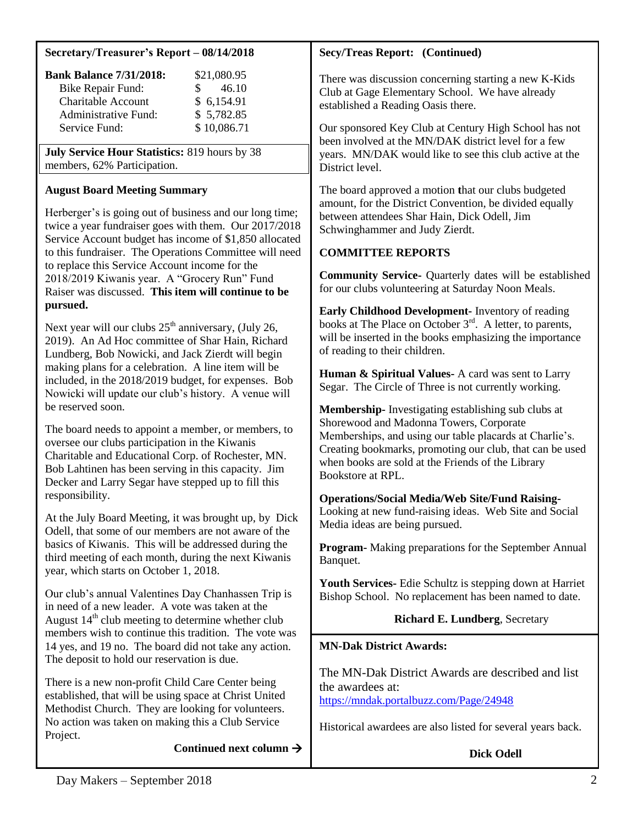#### **Secretary/Treasurer's Report – 08/14/2018**

| <b>Bank Balance 7/31/2018:</b> | \$21,080.95  |
|--------------------------------|--------------|
| <b>Bike Repair Fund:</b>       | 46.10<br>SS. |
| Charitable Account             | \$6,154.91   |
| Administrative Fund:           | \$5,782.85   |
| Service Fund:                  | \$10,086.71  |

**July Service Hour Statistics:** 819 hours by 38 members, 62% Participation.

## **August Board Meeting Summary**

Herberger's is going out of business and our long time; twice a year fundraiser goes with them. Our 2017/2018 Service Account budget has income of \$1,850 allocated to this fundraiser. The Operations Committee will need to replace this Service Account income for the 2018/2019 Kiwanis year. A "Grocery Run" Fund Raiser was discussed. **This item will continue to be pursued.**

Next year will our clubs  $25<sup>th</sup>$  anniversary, (July 26, 2019). An Ad Hoc committee of Shar Hain, Richard Lundberg, Bob Nowicki, and Jack Zierdt will begin making plans for a celebration. A line item will be included, in the 2018/2019 budget, for expenses. Bob Nowicki will update our club's history. A venue will be reserved soon.

The board needs to appoint a member, or members, to oversee our clubs participation in the Kiwanis Charitable and Educational Corp. of Rochester, MN. Bob Lahtinen has been serving in this capacity. Jim Decker and Larry Segar have stepped up to fill this responsibility.

At the July Board Meeting, it was brought up, by Dick Odell, that some of our members are not aware of the basics of Kiwanis. This will be addressed during the third meeting of each month, during the next Kiwanis year, which starts on October 1, 2018.

Our club's annual Valentines Day Chanhassen Trip is in need of a new leader. A vote was taken at the August  $14<sup>th</sup>$  club meeting to determine whether club members wish to continue this tradition. The vote was 14 yes, and 19 no. The board did not take any action. The deposit to hold our reservation is due.

There is a new non-profit Child Care Center being established, that will be using space at Christ United Methodist Church. They are looking for volunteers. No action was taken on making this a Club Service Project.

Continued next column  $\rightarrow$ 

# **Secy/Treas Report: (Continued)**

There was discussion concerning starting a new K-Kids Club at Gage Elementary School. We have already established a Reading Oasis there.

Our sponsored Key Club at Century High School has not been involved at the MN/DAK district level for a few years. MN/DAK would like to see this club active at the District level.

The board approved a motion **t**hat our clubs budgeted amount, for the District Convention, be divided equally between attendees Shar Hain, Dick Odell, Jim Schwinghammer and Judy Zierdt.

# **COMMITTEE REPORTS**

**Community Service-** Quarterly dates will be established for our clubs volunteering at Saturday Noon Meals.

**Early Childhood Development-** Inventory of reading books at The Place on October 3<sup>rd</sup>. A letter, to parents, will be inserted in the books emphasizing the importance of reading to their children.

**Human & Spiritual Values-** A card was sent to Larry Segar. The Circle of Three is not currently working.

**Membership-** Investigating establishing sub clubs at Shorewood and Madonna Towers, Corporate Memberships, and using our table placards at Charlie's. Creating bookmarks, promoting our club, that can be used when books are sold at the Friends of the Library Bookstore at RPL.

**Operations/Social Media/Web Site/Fund Raising-**Looking at new fund-raising ideas. Web Site and Social Media ideas are being pursued.

**Program-** Making preparations for the September Annual Banquet.

**Youth Services-** Edie Schultz is stepping down at Harriet Bishop School. No replacement has been named to date.

# **Richard E. Lundberg**, Secretary

# **MN-Dak District Awards:**

The MN-Dak District Awards are described and list the awardees at: <https://mndak.portalbuzz.com/Page/24948>

Historical awardees are also listed for several years back.

**Dick Odell**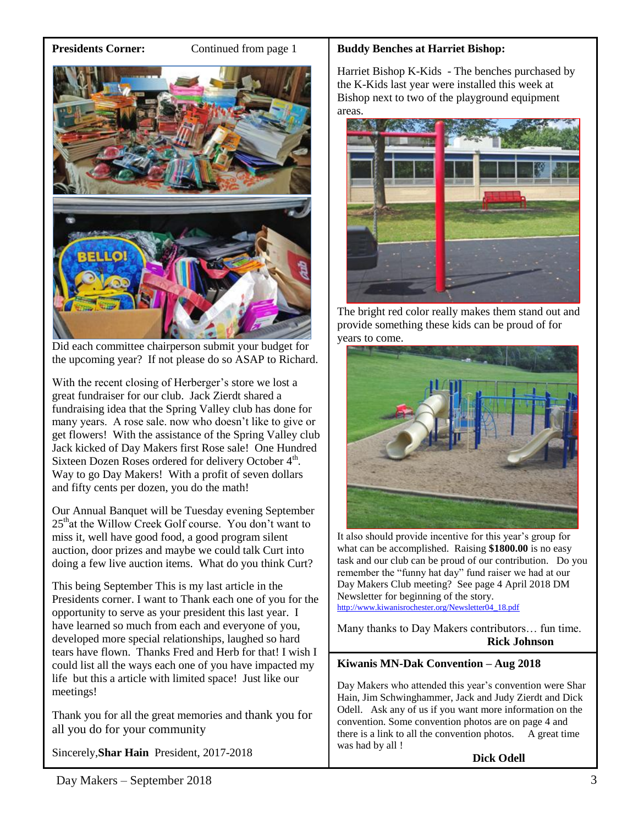**Presidents Corner:** Continued from page 1



Did each committee chairperson submit your budget for the upcoming year? If not please do so ASAP to Richard.

With the recent closing of Herberger's store we lost a great fundraiser for our club. Jack Zierdt shared a fundraising idea that the Spring Valley club has done for many years. A rose sale. now who doesn't like to give or get flowers! With the assistance of the Spring Valley club Jack kicked of Day Makers first Rose sale! One Hundred Sixteen Dozen Roses ordered for delivery October  $4<sup>th</sup>$ . Way to go Day Makers! With a profit of seven dollars and fifty cents per dozen, you do the math!

Our Annual Banquet will be Tuesday evening September 25<sup>th</sup>at the Willow Creek Golf course. You don't want to miss it, well have good food, a good program silent auction, door prizes and maybe we could talk Curt into doing a few live auction items. What do you think Curt?

This being September This is my last article in the Presidents corner. I want to Thank each one of you for the opportunity to serve as your president this last year. I have learned so much from each and everyone of you, developed more special relationships, laughed so hard tears have flown. Thanks Fred and Herb for that! I wish I could list all the ways each one of you have impacted my life but this a article with limited space! Just like our meetings!

Thank you for all the great memories and thank you for all you do for your community

Sincerely,**Shar Hain** President, 2017-2018

## **Buddy Benches at Harriet Bishop:**

Harriet Bishop K-Kids - The benches purchased by the K-Kids last year were installed this week at Bishop next to two of the playground equipment areas.



The bright red color really makes them stand out and provide something these kids can be proud of for years to come.



It also should provide incentive for this year's group for what can be accomplished. Raising **\$1800.00** is no easy task and our club can be proud of our contribution. Do you remember the "funny hat day" fund raiser we had at our Day Makers Club meeting? See page 4 April 2018 DM Newsletter for beginning of the story. [http://www.kiwanisrochester.org/Newsletter04\\_18.pdf](http://www.kiwanisrochester.org/Newsletter04_18.pdf)

Many thanks to Day Makers contributors… fun time. **Rick Johnson**

### **Kiwanis MN-Dak Convention – Aug 2018**

Day Makers who attended this year's convention were Shar Hain, Jim Schwinghammer, Jack and Judy Zierdt and Dick Odell. Ask any of us if you want more information on the convention. Some convention photos are on page 4 and there is a link to all the convention photos. A great time was had by all !

**Dick Odell**